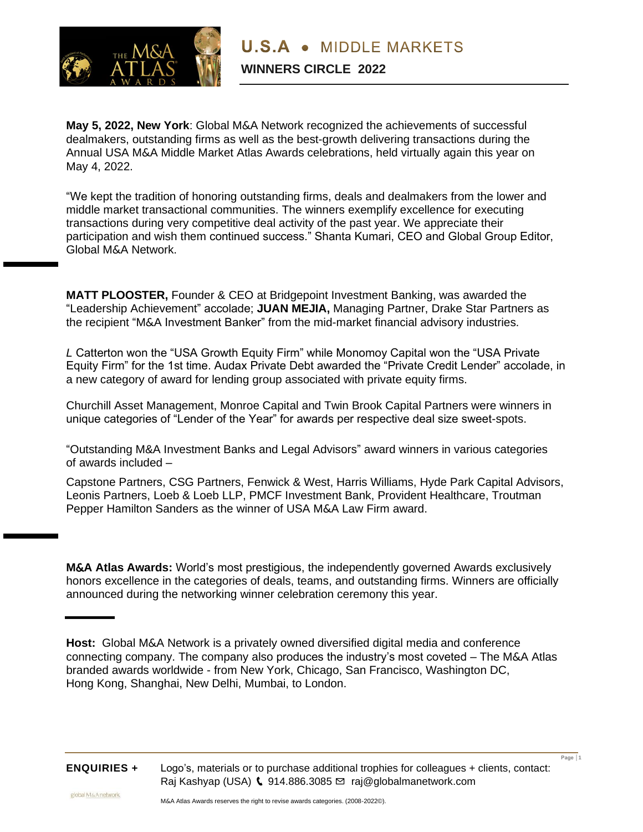

**May 5, 2022, New York**: Global M&A Network recognized the achievements of successful dealmakers, outstanding firms as well as the best-growth delivering transactions during the Annual USA M&A Middle Market Atlas Awards celebrations, held virtually again this year on May 4, 2022.

"We kept the tradition of honoring outstanding firms, deals and dealmakers from the lower and middle market transactional communities. The winners exemplify excellence for executing transactions during very competitive deal activity of the past year. We appreciate their participation and wish them continued success." Shanta Kumari, CEO and Global Group Editor, Global M&A Network.

**MATT PLOOSTER,** Founder & CEO at Bridgepoint Investment Banking, was awarded the "Leadership Achievement" accolade; **JUAN MEJIA,** Managing Partner, Drake Star Partners as the recipient "M&A Investment Banker" from the mid-market financial advisory industries.

*L* Catterton won the "USA Growth Equity Firm" while Monomoy Capital won the "USA Private Equity Firm" for the 1st time. Audax Private Debt awarded the "Private Credit Lender" accolade, in a new category of award for lending group associated with private equity firms.

Churchill Asset Management, Monroe Capital and Twin Brook Capital Partners were winners in unique categories of "Lender of the Year" for awards per respective deal size sweet-spots.

"Outstanding M&A Investment Banks and Legal Advisors" award winners in various categories of awards included –

Capstone Partners, CSG Partners, Fenwick & West, Harris Williams, Hyde Park Capital Advisors, Leonis Partners, Loeb & Loeb LLP, PMCF Investment Bank, Provident Healthcare, Troutman Pepper Hamilton Sanders as the winner of USA M&A Law Firm award.

**M**&**A Atlas Awards:** World's most prestigious, the independently governed Awards exclusively honors excellence in the categories of deals, teams, and outstanding firms. Winners are officially announced during the networking winner celebration ceremony this year.

**Host:** Global M&A Network is a privately owned diversified digital media and conference connecting company. The company also produces the industry's most coveted – The M&A Atlas branded awards worldwide - from New York, Chicago, San Francisco, Washington DC, Hong Kong, Shanghai, New Delhi, Mumbai, to London.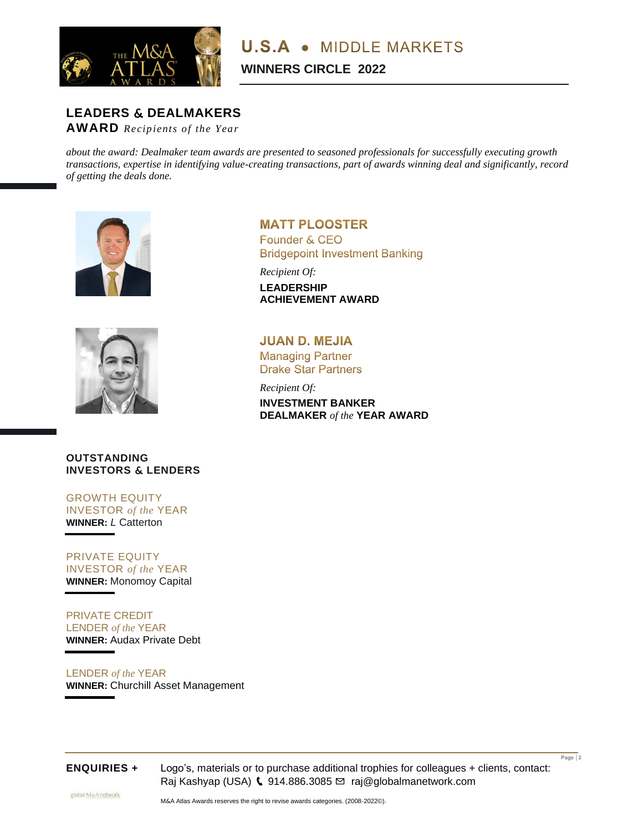

# **LEADERS** & **DEALMAKERS**

**AWARD** *Recipients of the Year* 

*about the award: Dealmaker team awards are presented to seasoned professionals for successfully executing growth transactions, expertise in identifying value-creating transactions, part of awards winning deal and significantly, record of getting the deals done.*





# **OUTSTANDING INVESTORS** & **LENDERS**

GROWTH EQUITY INVESTOR *of the* YEAR **WINNER:** *L* Catterton

# PRIVATE EQUITY INVESTOR *of the* YEAR **WINNER:** Monomoy Capital

PRIVATE CREDIT LENDER *of the* YEAR **WINNER:** Audax Private Debt

LENDER *of the* YEAR **WINNER:** Churchill Asset Management **MATT PLOOSTER** Founder & CEO **Bridgepoint Investment Banking** 

*Recipient Of:*  **LEADERSHIP ACHIEVEMENT AWARD**

**JUAN D. MEJIA Managing Partner Drake Star Partners** 

*Recipient Of:* 

**INVESTMENT BANKER DEALMAKER** *of the* **YEAR AWARD**



**ENQUIRIES +** Logo's, materials or to purchase additional trophies for colleagues + clients, contact: Raj Kashyap (USA) (914.886.3085 ⊠ [raj@globalmanetwork.com](mailto:raj@globalmanetwork.com)

**Page │2**

globalM&Anetwork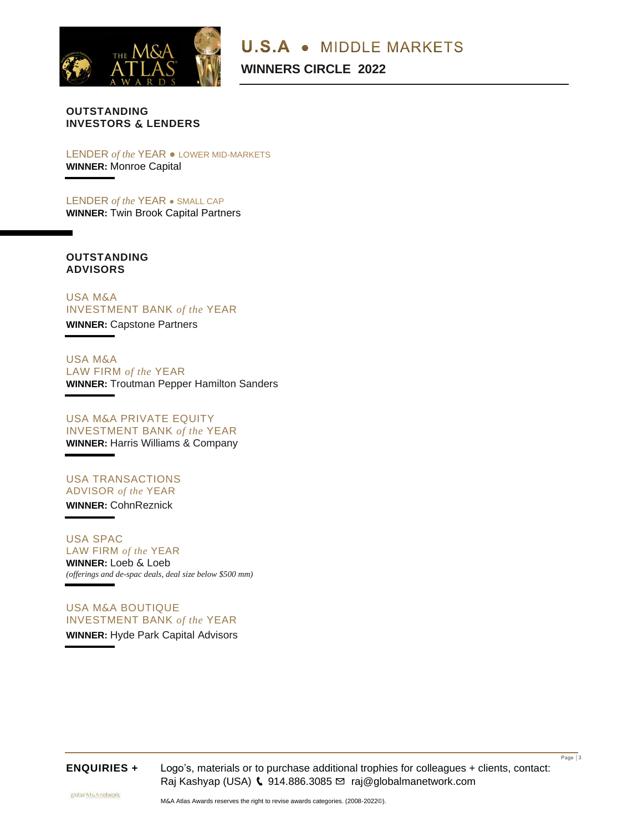

**U.S.A • MIDDLE MARKETS** 

**WINNERS CIRCLE 2022**

# **OUTSTANDING INVESTORS** & **LENDERS**

LENDER *of the* YEAR ● LOWER MID-MARKETS **WINNER:** Monroe Capital

LENDER *of the* YEAR ● SMALL CAP **WINNER:** Twin Brook Capital Partners

# **OUTSTANDING ADVISORS**

USA M&A INVESTMENT BANK *of the* YEAR **WINNER:** Capstone Partners

USA M&A LAW FIRM *of the* YEAR **WINNER:** Troutman Pepper Hamilton Sanders

USA M&A PRIVATE EQUITY INVESTMENT BANK *of the* YEAR **WINNER:** Harris Williams & Company

USA TRANSACTIONS ADVISOR *of the* YEAR **WINNER:** CohnReznick

USA SPAC LAW FIRM *of the* YEAR **WINNER:** Loeb & Loeb *(offerings and de-spac deals, deal size below \$500 mm)*

USA M&A BOUTIQUE INVESTMENT BANK *of the* YEAR **WINNER:** Hyde Park Capital Advisors

**ENQUIRIES +** Logo's, materials or to purchase additional trophies for colleagues + clients, contact: Raj Kashyap (USA) ↓ 914.886.3085 ⊠ [raj@globalmanetwork.com](mailto:raj@globalmanetwork.com)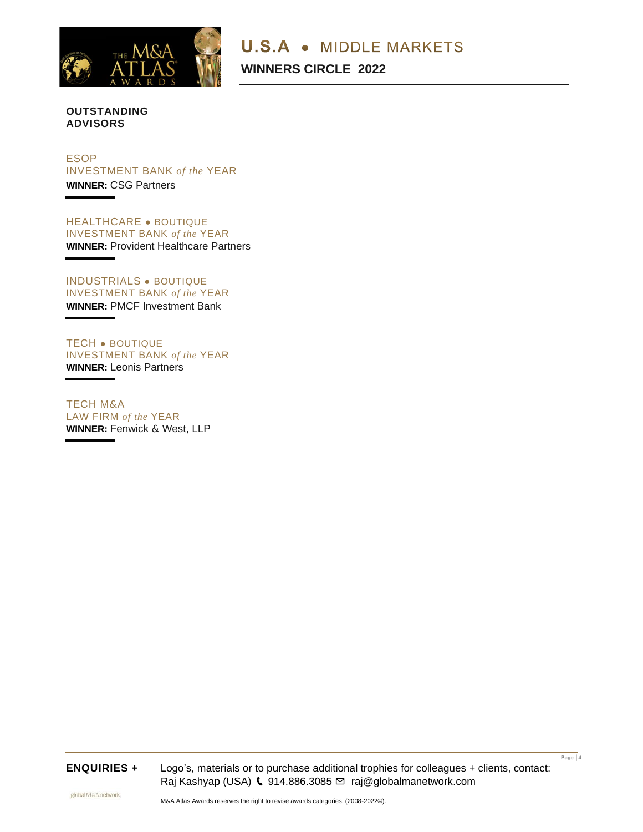

**U.S.A • MIDDLE MARKETS** 

**WINNERS CIRCLE 2022**

# **OUTSTANDING ADVISORS**

# ESOP INVESTMENT BANK *of the* YEAR **WINNER:** CSG Partners

HEALTHCARE ● BOUTIQUE INVESTMENT BANK *of the* YEAR **WINNER:** Provident Healthcare Partners

INDUSTRIALS ● BOUTIQUE INVESTMENT BANK *of the* YEAR **WINNER:** PMCF Investment Bank

TECH ● BOUTIQUE INVESTMENT BANK *of the* YEAR **WINNER:** Leonis Partners

TECH M&A LAW FIRM *of the* YEAR **WINNER:** Fenwick & West, LLP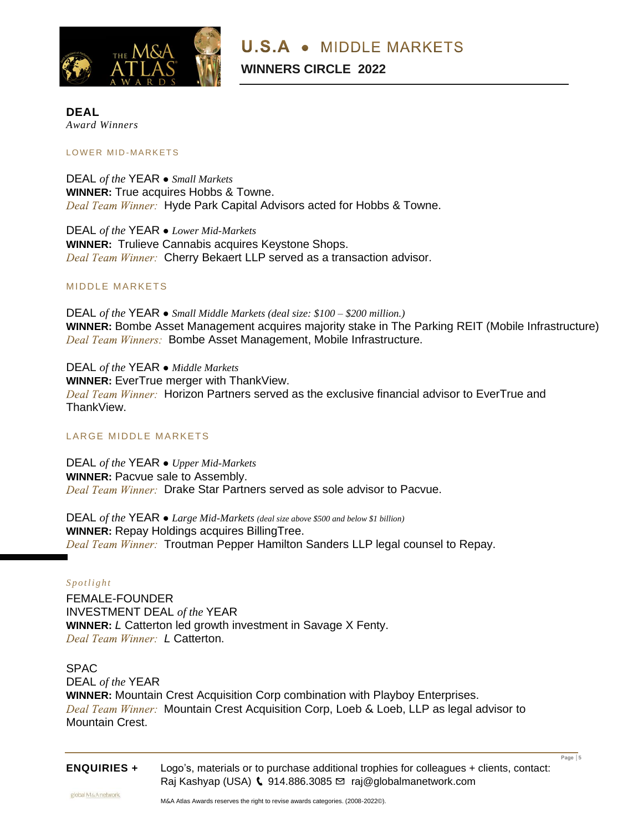

# **DEAL** *Award Winners*

#### LOWER MID-MARKETS

DEAL *of the* YEAR **●** *Small Markets*  **WINNER:** True acquires Hobbs & Towne. Deal Team Winner: Hyde Park Capital Advisors acted for Hobbs & Towne.

DEAL *of the* YEAR **●** *Lower Mid-Markets*  **WINNER:** Trulieve Cannabis acquires Keystone Shops. Deal Team Winner: Cherry Bekaert LLP served as a transaction advisor.

# MIDDLE MARKETS

DEAL *of the* YEAR **●** *Small Middle Markets (deal size: \$100 – \$200 million.)* **WINNER:** Bombe Asset Management acquires majority stake in The Parking REIT (Mobile Infrastructure) Deal Team Winners: Bombe Asset Management, Mobile Infrastructure.

DEAL *of the* YEAR **●** *Middle Markets*  **WINNER:** EverTrue merger with ThankView. Deal Team Winner: Horizon Partners served as the exclusive financial advisor to EverTrue and ThankView.

### LARGE MIDDLE MARKETS

DEAL *of the* YEAR **●** *Upper Mid-Markets*  **WINNER: Pacvue sale to Assembly.** Deal Team Winner: Drake Star Partners served as sole advisor to Pacvue.

DEAL *of the* YEAR **●** *Large Mid-Markets (deal size above \$500 and below \$1 billion)* **WINNER:** Repay Holdings acquires BillingTree. Deal Team Winner: Troutman Pepper Hamilton Sanders LLP legal counsel to Repay.

### *S p o t l i g h t*

FEMALE-FOUNDER INVESTMENT DEAL *of the* YEAR **WINNER:** *L* Catterton led growth investment in Savage X Fenty. *Deal Team Winner: I Catterton.* 

# SPAC

#### DEAL *of the* YEAR

**WINNER:** Mountain Crest Acquisition Corp combination with Playboy Enterprises. Deal Team Winner: Mountain Crest Acquisition Corp, Loeb & Loeb, LLP as legal advisor to Mountain Crest.

|                    |                                                                                         | Page $ 5$ |
|--------------------|-----------------------------------------------------------------------------------------|-----------|
| <b>ENQUIRIES +</b> | Logo's, materials or to purchase additional trophies for colleagues + clients, contact: |           |
|                    | Raj Kashyap (USA) $\binom{1}{2}$ 914.886.3085 $\approx$ raj@globalmanetwork.com         |           |
|                    |                                                                                         |           |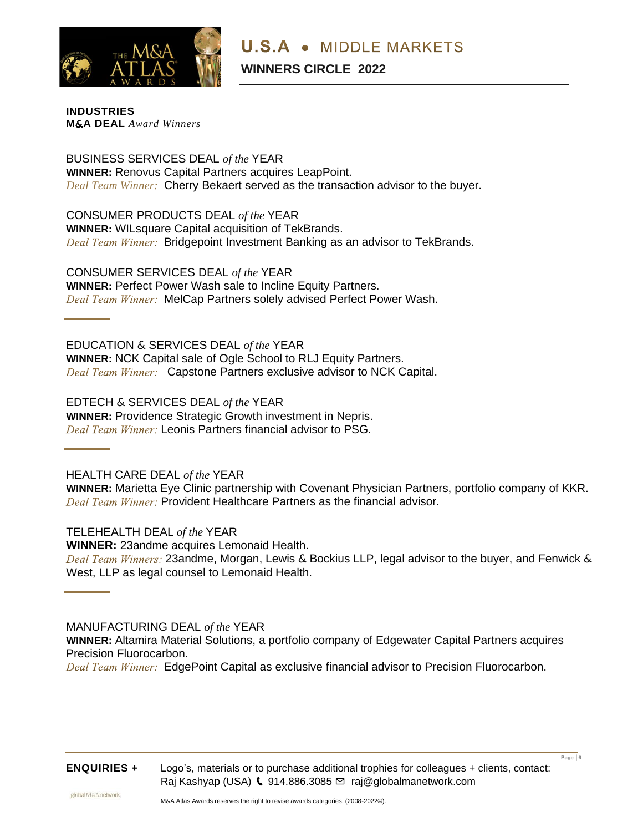

**INDUSTRIES M**&**A DEAL** *Award Winners*

BUSINESS SERVICES DEAL *of the* YEAR **WINNER:** Renovus Capital Partners acquires LeapPoint. *Deal Team Winner:* Cherry Bekaert served as the transaction advisor to the buyer.

CONSUMER PRODUCTS DEAL *of the* YEAR **WINNER:** WILsquare Capital acquisition of TekBrands. Deal Team Winner: Bridgepoint Investment Banking as an advisor to TekBrands.

CONSUMER SERVICES DEAL *of the* YEAR **WINNER:** Perfect Power Wash sale to Incline Equity Partners. Deal Team Winner: MelCap Partners solely advised Perfect Power Wash.

EDUCATION & SERVICES DEAL *of the* YEAR **WINNER:** NCK Capital sale of Ogle School to RLJ Equity Partners. Deal Team Winner: Capstone Partners exclusive advisor to NCK Capital.

EDTECH & SERVICES DEAL *of the* YEAR **WINNER:** Providence Strategic Growth investment in Nepris. Deal Team Winner: Leonis Partners financial advisor to PSG.

HEALTH CARE DEAL *of the* YEAR

**WINNER:** Marietta Eye Clinic partnership with Covenant Physician Partners, portfolio company of KKR. Deal Team Winner: Provident Healthcare Partners as the financial advisor.

TELEHEALTH DEAL *of the* YEAR **WINNER:** 23andme acquires Lemonaid Health. Deal Team Winners: 23andme, Morgan, Lewis & Bockius LLP, legal advisor to the buyer, and Fenwick & West, LLP as legal counsel to Lemonaid Health.

MANUFACTURING DEAL *of the* YEAR

**WINNER:** Altamira Material Solutions, a portfolio company of Edgewater Capital Partners acquires Precision Fluorocarbon. Deal Team Winner: EdgePoint Capital as exclusive financial advisor to Precision Fluorocarbon.

**ENQUIRIES +** Logo's, materials or to purchase additional trophies for colleagues + clients, contact: Raj Kashyap (USA) (914.886.3085 ⊠ [raj@globalmanetwork.com](mailto:raj@globalmanetwork.com)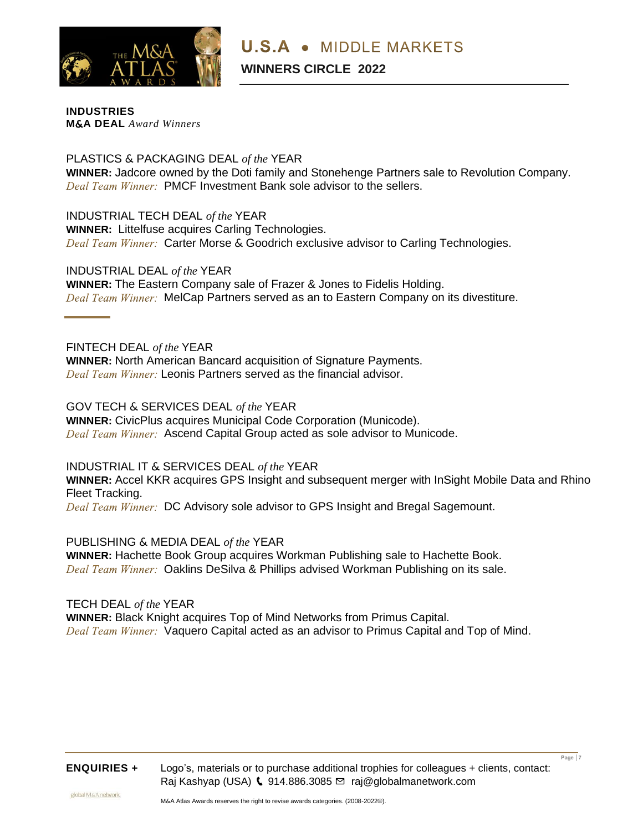

**INDUSTRIES M**&**A DEAL** *Award Winners*

PLASTICS & PACKAGING DEAL *of the* YEAR **WINNER:** Jadcore owned by the Doti family and Stonehenge Partners sale to Revolution Company. Deal Team Winner: PMCF Investment Bank sole advisor to the sellers.

INDUSTRIAL TECH DEAL *of the* YEAR **WINNER:** Littelfuse acquires Carling Technologies. Deal Team Winner: Carter Morse & Goodrich exclusive advisor to Carling Technologies.

INDUSTRIAL DEAL *of the* YEAR **WINNER:** The Eastern Company sale of Frazer & Jones to Fidelis Holding. Deal Team Winner: MelCap Partners served as an to Eastern Company on its divestiture.

# FINTECH DEAL *of the* YEAR

**WINNER:** North American Bancard acquisition of Signature Payments. Deal Team Winner: Leonis Partners served as the financial advisor.

GOV TECH & SERVICES DEAL *of the* YEAR

**WINNER:** CivicPlus acquires Municipal Code Corporation (Municode). Deal Team Winner: Ascend Capital Group acted as sole advisor to Municode.

INDUSTRIAL IT & SERVICES DEAL *of the* YEAR

**WINNER:** Accel KKR acquires GPS Insight and subsequent merger with InSight Mobile Data and Rhino Fleet Tracking.

Deal Team Winner: DC Advisory sole advisor to GPS Insight and Bregal Sagemount.

PUBLISHING & MEDIA DEAL *of the* YEAR

**WINNER:** Hachette Book Group acquires Workman Publishing sale to Hachette Book. Deal Team Winner: Oaklins DeSilva & Phillips advised Workman Publishing on its sale.

TECH DEAL *of the* YEAR **WINNER:** Black Knight acquires Top of Mind Networks from Primus Capital. Deal Team Winner: Vaquero Capital acted as an advisor to Primus Capital and Top of Mind.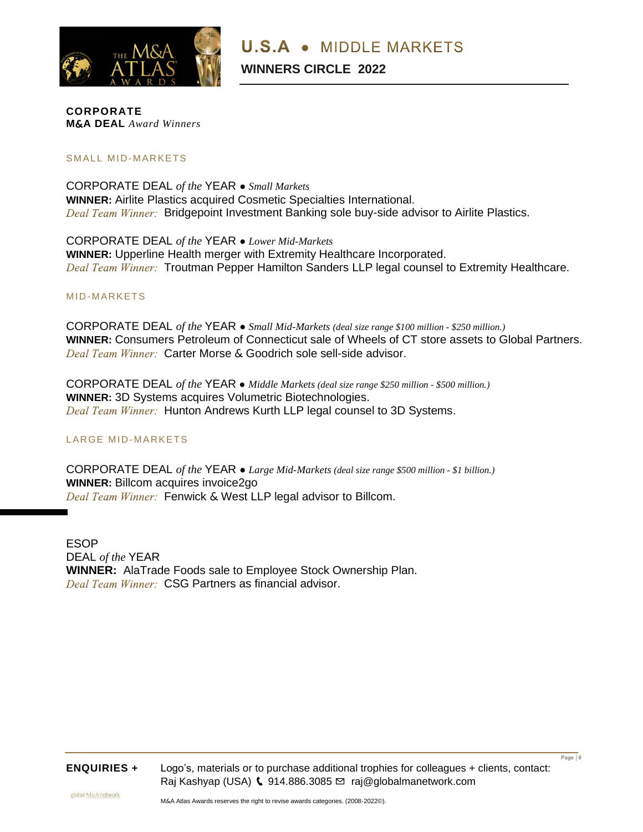

**CORPORATE M**&**A DEAL** *Award Winners*

## SMALL MID-MARKETS

CORPORATE DEAL *of the* YEAR **●** *Small Markets*  **WINNER:** Airlite Plastics acquired Cosmetic Specialties International. Deal Team Winner: Bridgepoint Investment Banking sole buy-side advisor to Airlite Plastics.

CORPORATE DEAL *of the* YEAR **●** *Lower Mid-Markets* **WINNER:** Upperline Health merger with Extremity Healthcare Incorporated. Deal Team Winner: Troutman Pepper Hamilton Sanders LLP legal counsel to Extremity Healthcare.

### MID-MARKETS

CORPORATE DEAL *of the* YEAR **●** *Small Mid-Markets (deal size range \$100 million - \$250 million.)* **WINNER:** Consumers Petroleum of Connecticut sale of Wheels of CT store assets to Global Partners. Deal Team Winner: Carter Morse & Goodrich sole sell-side advisor.

CORPORATE DEAL *of the* YEAR **●** *Middle Markets (deal size range \$250 million - \$500 million.)* **WINNER:** 3D Systems acquires Volumetric Biotechnologies. Deal Team Winner: Hunton Andrews Kurth LLP legal counsel to 3D Systems.

### LARGE MID-MARKETS

CORPORATE DEAL *of the* YEAR **●** *Large Mid-Markets (deal size range \$500 million - \$1 billion.)* **WINNER:** Billcom acquires invoice2go Deal Team Winner: Fenwick & West LLP legal advisor to Billcom.

ESOP DEAL *of the* YEAR **WINNER:** AlaTrade Foods sale to Employee Stock Ownership Plan. Deal Team Winner: CSG Partners as financial advisor.